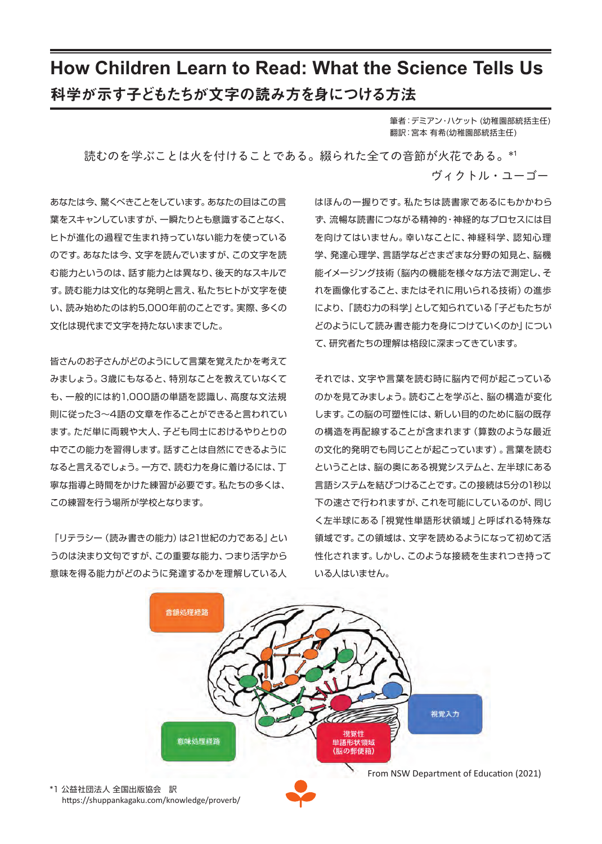# **How Children Learn to Read: What the Science Tells Us** 科学が示す子どもたちが文字の読み方を身につける方法

筆者:デミアン・ハケット (幼稚園部統括主任) 翻訳:宮本 有希(幼稚園部統括主任)

読むのを学ぶことは火を付けることである。綴られた全ての音節が火花である。\*1

ヴィクトル・ユーゴー

あなたは今、驚くべきことをしています。あなたの目はこの言 葉をスキャンしていますが、一瞬たりとも意識することなく、 ヒトが進化の過程で生まれ持っていない能力を使っている のです。あなたは今、文字を読んでいますが、この文字を読 む能力というのは、話す能力とは異なり、後天的なスキルで す。読む能力は文化的な発明と言え、私たちヒトが文字を使 い、読み始めたのは約5,000年前のことです。実際、多くの 文化は現代まで文字を持たないままでした。

皆さんのお子さんがどのようにして言葉を覚えたかを考えて みましょう。3歳にもなると、特別なことを教えていなくて も、一般的には約1,000語の単語を認識し、高度な文法規 則に従った3~4語の文章を作ることができると言われてい ます。ただ単に両親や大人、子ども同士におけるやりとりの 中でこの能力を習得します。話すことは自然にできるように なると言えるでしょう。一方で、読む力を身に着けるには、丁 寧な指導と時間をかけた練習が必要です。私たちの多くは、 この練習を行う場所が学校となります。

「リテラシー (読み書きの能力)は21世紀の力である」とい うのは決まり文句ですが、この重要な能力、つまり活字から 意味を得る能力がどのように発達するかを理解している人

はほんの一握りです。私たちは読書家であるにもかかわら ず、流暢な読書につながる精神的・神経的なプロセスには目 を向けてはいません。幸いなことに、神経科学、認知心理 学、発達心理学、言語学などさまざまな分野の知見と、脳機 能イメージング技術(脳内の機能を様々な方法で測定し、そ れを画像化すること、またはそれに用いられる技術)の進歩 により、「読む力の科学」として知られている「子どもたちが どのようにして読み書き能力を身につけていくのか」につい て、研究者たちの理解は格段に深まってきています。

それでは、文字や言葉を読む時に脳内で何が起こっている のかを見てみましょう。読むことを学ぶと、脳の構造が変化 します。この脳の可塑性には、新しい目的のために脳の既存 の構造を再配線することが含まれます(算数のような最近 の文化的発明でも同じことが起こっています)。言葉を読む ということは、脳の奥にある視覚システムと、左半球にある 言語システムを結びつけることです。この接続は5分の1秒以 下の速さで行われますが、これを可能にしているのが、同じ く左半球にある「視覚性単語形状領域」と呼ばれる特殊な 領域です。この領域は、文字を読めるようになって初めて活 性化されます。しかし、このような接続を生まれつき持って いる人はいません。



\*1 公益社団法人 全国出版協会 訳 https://shuppankagaku.com/knowledge/proverb/ From NSW Department of Education (2021)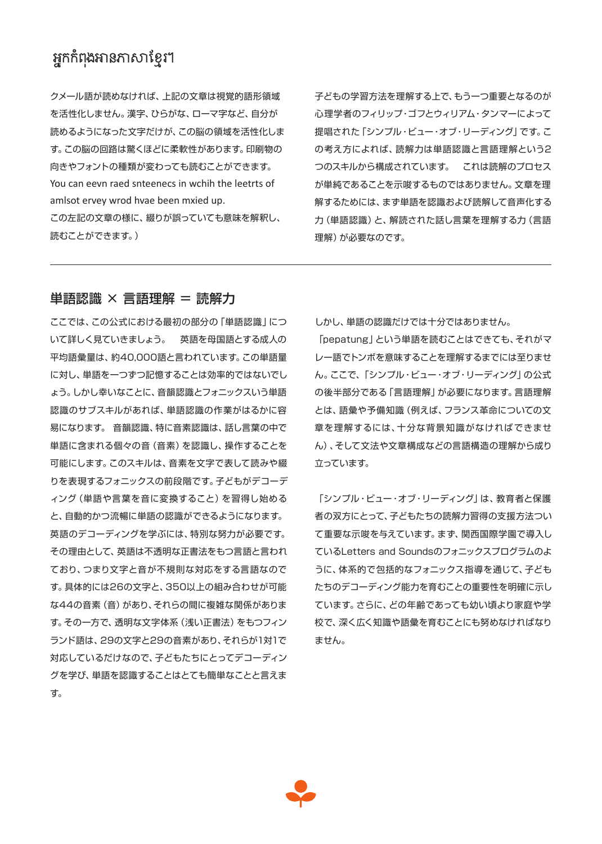## អ្នកកំពងអានភាសាខ្មែរ។

クメール語が読めなければ、上記の文章は視覚的語形領域 を活性化しません。漢字、ひらがな、ローマ字など、自分が 読めるようになった文字だけが、この脳の領域を活性化しま す。この脳の回路は驚くほどに柔軟性があります。印刷物の 向きやフォントの種類が変わっても読むことができます。 You can eevn raed snteenecs in wchih the leetrts of amlsot ervey wrod hvae been mxied up. この左記の文章の様に、綴りが誤っていても意味を解釈し、 読むことができます。)

子どもの学習方法を理解する上で、もう一つ重要となるのが 心理学者のフィリップ・ゴフとウィリアム・タンマーによって 提唱された「シンプル・ビュー・オブ・リーディング」です。こ の考え方によれば、読解力は単語認識と言語理解という2 つのスキルから構成されています。 これは読解のプロセス が単純であることを示唆するものではありません。文章を理 解するためには、まず単語を認識および読解して音声化する 力(単語認識)と、解読された話し言葉を理解する力(言語 理解)が必要なのです。

### 単語認識 × 言語理解 = 読解力

ここでは、この公式における最初の部分の「単語認識」につ いて詳しく見ていきましょう。 英語を母国語とする成人の 平均語彙量は、約40,000語と言われています。この単語量 に対し、単語を一つずつ記憶することは効率的ではないでし ょう。しかし幸いなことに、音韻認識とフォニックスいう単語 認識のサブスキルがあれば、単語認識の作業がはるかに容 易になります。 音韻認識、特に音素認識は、話し言葉の中で 単語に含まれる個々の音(音素)を認識し、操作することを 可能にします。このスキルは、音素を文字で表して読みや綴 りを表現するフォニックスの前段階です。子どもがデコーデ ィング(単語や言葉を音に変換すること)を習得し始める と、自動的かつ流暢に単語の認識ができるようになります。 英語のデコーディングを学ぶには、特別な努力が必要です。 その理由として、英語は不透明な正書法をもつ言語と言われ ており、つまり文字と音が不規則な対応をする言語なので す。具体的には26の文字と、350以上の組み合わせが可能 な44の音素(音)があり、それらの間に複雑な関係がありま す。その一方で、透明な文字体系(浅い正書法)をもつフィン ランド語は、29の文字と29の音素があり、それらが1対1で 対応しているだけなので、子どもたちにとってデコーディン グを学び、単語を認識することはとても簡単なことと言えま す。

しかし、単語の認識だけでは十分ではありません。

「pepatung」という単語を読むことはできても、それがマ レー語でトンボを意味することを理解するまでには至りませ ん。ここで、「シンプル・ビュー・オブ・リーディング」の公式 の後半部分である「言語理解」が必要になります。言語理解 とは、語彙や予備知識(例えば、フランス革命についての文 章を理解するには、十分な背景知識がなければできませ ん)、そして文法や文章構成などの言語構造の理解から成り 立っています。

「シンプル・ビュー・オブ・リーディング」は、教育者と保護 者の双方にとって、子どもたちの読解力習得の支援方法つい て重要な示唆を与えています。まず、関西国際学園で導入し ているLetters and Soundsのフォニックスプログラムのよ うに、体系的で包括的なフォニックス指導を通じて、子ども たちのデコーディング能力を育むことの重要性を明確に示し ています。さらに、どの年齢であっても幼い頃より家庭や学 校で、深く広く知識や語彙を育むことにも努めなければなり ません。

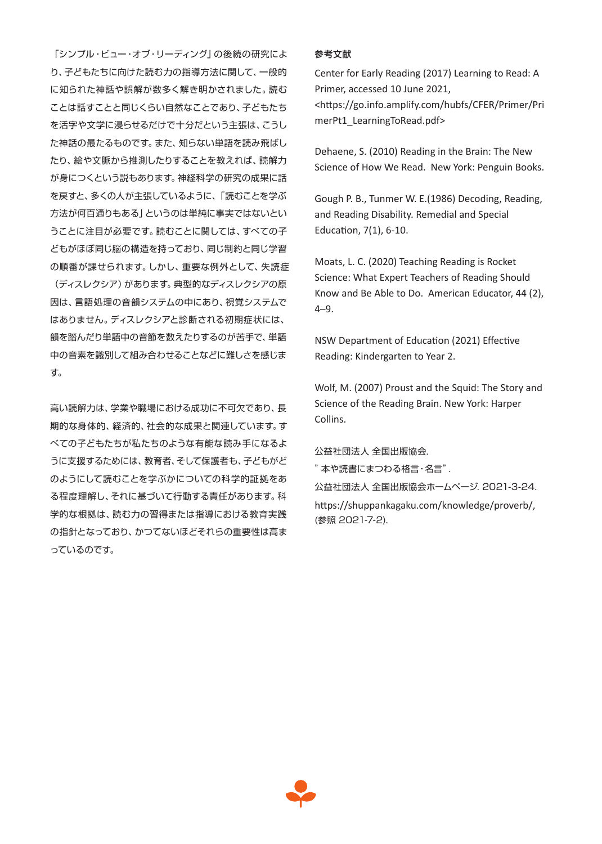「シンプル・ビュー・オブ・リーディング」の後続の研究によ り、子どもたちに向けた読む力の指導方法に関して、一般的 に知られた神話や誤解が数多く解き明かされました。読む ことは話すことと同じくらい自然なことであり、子どもたち を活字や文学に浸らせるだけで十分だという主張は、こうし た神話の最たるものです。また、知らない単語を読み飛ばし たり、絵や文脈から推測したりすることを教えれば、読解力 が身につくという説もあります。神経科学の研究の成果に話 を戻すと、多くの人が主張しているように、「読むことを学ぶ 方法が何百通りもある」というのは単純に事実ではないとい うことに注目が必要です。読むことに関しては、すべての子 どもがほぼ同じ脳の構造を持っており、同じ制約と同じ学習 の順番が課せられます。しかし、重要な例外として、失読症 (ディスレクシア)があります。典型的なディスレクシアの原 因は、言語処理の音韻システムの中にあり、視覚システムで はありません。ディスレクシアと診断される初期症状には、 韻を踏んだり単語中の音節を数えたりするのが苦手で、単語 中の音素を識別して組み合わせることなどに難しさを感じま す。

高い読解力は、学業や職場における成功に不可欠であり、長 期的な身体的、経済的、社会的な成果と関連しています。す べての子どもたちが私たちのような有能な読み手になるよ うに支援するためには、教育者、そして保護者も、子どもがど のようにして読むことを学ぶかについての科学的証拠をあ る程度理解し、それに基づいて行動する責任があります。科 学的な根拠は、読む力の習得または指導における教育実践 の指針となっており、かつてないほどそれらの重要性は高ま っているのです。

#### 参考文献

Center for Early Reading (2017) Learning to Read: A Primer, accessed 10 June 2021, <https://go.info.amplify.com/hubfs/CFER/Primer/Pri merPt1\_LearningToRead.pdf>

Dehaene, S. (2010) Reading in the Brain: The New Science of How We Read. New York: Penguin Books.

Gough P. B., Tunmer W. E.(1986) Decoding, Reading, and Reading Disability. Remedial and Special Education, 7(1), 6-10.

Moats, L. C. (2020) Teaching Reading is Rocket Science: What Expert Teachers of Reading Should Know and Be Able to Do. American Educator, 44 (2), 4–9.

NSW Department of Education (2021) Effective Reading: Kindergarten to Year 2.

Wolf, M. (2007) Proust and the Squid: The Story and Science of the Reading Brain. New York: Harper Collins.

公益社団法人 全国出版協会.

"本や読書にまつわる格言・名言".

公益社団法人 全国出版協会ホームページ. 2021-3-24.

https://shuppankagaku.com/knowledge/proverb/, (参照 2021-7-2).

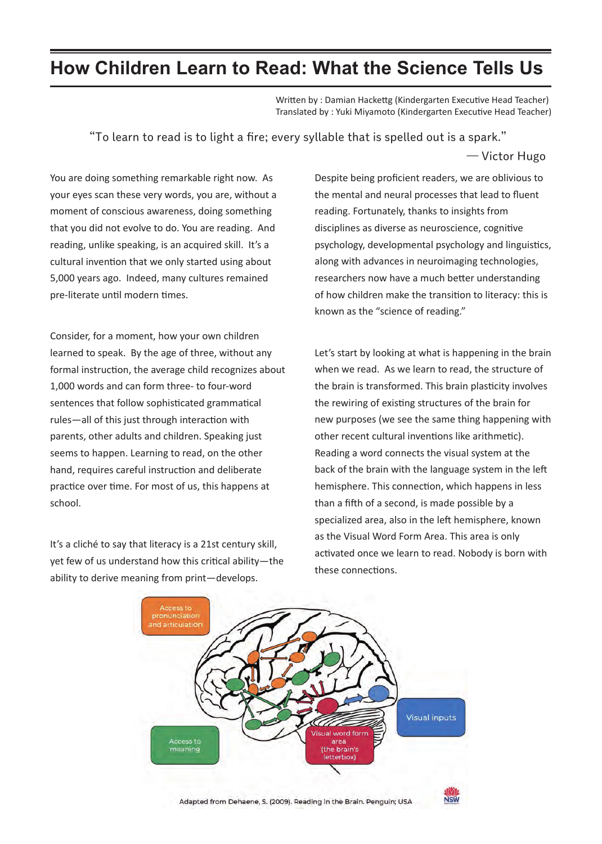## **How Children Learn to Read: What the Science Tells Us**

Written by : Damian Hackettg (Kindergarten Executive Head Teacher) Translated by : Yuki Miyamoto (Kindergarten Executive Head Teacher)

"To learn to read is to light a fire; every syllable that is spelled out is a spark."

̶ Victor Hugo

You are doing something remarkable right now. As your eyes scan these very words, you are, without a moment of conscious awareness, doing something that you did not evolve to do. You are reading. And reading, unlike speaking, is an acquired skill. It's a cultural invention that we only started using about 5,000 years ago. Indeed, many cultures remained pre-literate until modern times.

Consider, for a moment, how your own children learned to speak. By the age of three, without any formal instruction, the average child recognizes about 1,000 words and can form three- to four-word sentences that follow sophisticated grammatical rules—all of this just through interaction with parents, other adults and children. Speaking just seems to happen. Learning to read, on the other hand, requires careful instruction and deliberate practice over time. For most of us, this happens at school.

It's a cliché to say that literacy is a 21st century skill, yet few of us understand how this critical ability—the ability to derive meaning from print—develops.

Despite being proficient readers, we are oblivious to the mental and neural processes that lead to fluent reading. Fortunately, thanks to insights from disciplines as diverse as neuroscience, cognitive psychology, developmental psychology and linguistics, along with advances in neuroimaging technologies, researchers now have a much better understanding of how children make the transition to literacy: this is known as the "science of reading."

Let's start by looking at what is happening in the brain when we read. As we learn to read, the structure of the brain is transformed. This brain plasticity involves the rewiring of existing structures of the brain for new purposes (we see the same thing happening with other recent cultural inventions like arithmetic). Reading a word connects the visual system at the back of the brain with the language system in the left hemisphere. This connection, which happens in less than a fifth of a second, is made possible by a specialized area, also in the left hemisphere, known as the Visual Word Form Area. This area is only activated once we learn to read. Nobody is born with these connections.

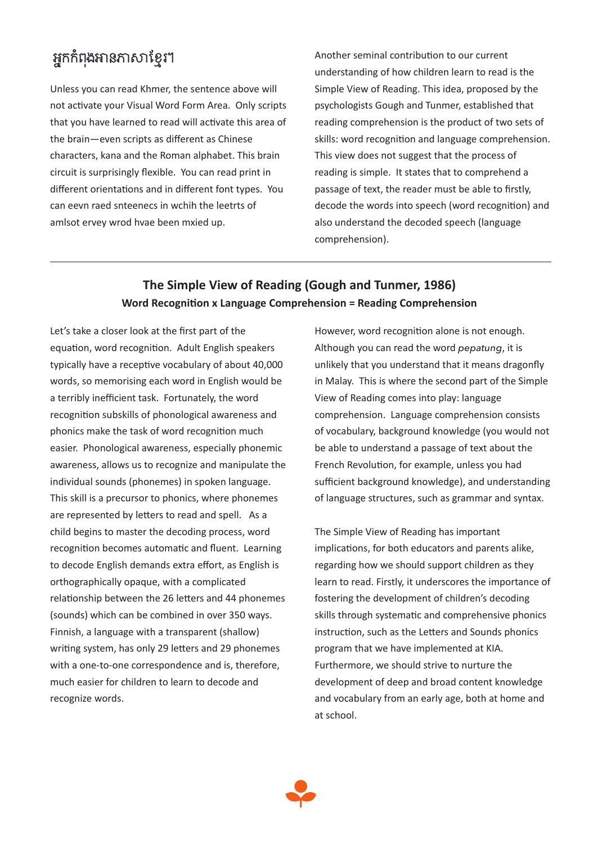# អ្នកកំពងអានភាសាខ្មែរ។

Unless you can read Khmer, the sentence above will not activate your Visual Word Form Area. Only scripts that you have learned to read will activate this area of the brain—even scripts as different as Chinese characters, kana and the Roman alphabet. This brain circuit is surprisingly flexible. You can read print in different orientations and in different font types. You can eevn raed snteenecs in wchih the leetrts of amlsot ervey wrod hvae been mxied up.

Another seminal contribution to our current understanding of how children learn to read is the Simple View of Reading. This idea, proposed by the psychologists Gough and Tunmer, established that reading comprehension is the product of two sets of skills: word recognition and language comprehension. This view does not suggest that the process of reading is simple. It states that to comprehend a passage of text, the reader must be able to firstly, decode the words into speech (word recognition) and also understand the decoded speech (language comprehension).

### **The Simple View of Reading (Gough and Tunmer, 1986) Word Recognition x Language Comprehension = Reading Comprehension**

Let's take a closer look at the first part of the equation, word recognition. Adult English speakers typically have a receptive vocabulary of about 40,000 words, so memorising each word in English would be a terribly inefficient task. Fortunately, the word recognition subskills of phonological awareness and phonics make the task of word recognition much easier. Phonological awareness, especially phonemic awareness, allows us to recognize and manipulate the individual sounds (phonemes) in spoken language. This skill is a precursor to phonics, where phonemes are represented by letters to read and spell. As a child begins to master the decoding process, word recognition becomes automatic and fluent. Learning to decode English demands extra effort, as English is orthographically opaque, with a complicated relationship between the 26 letters and 44 phonemes (sounds) which can be combined in over 350 ways. Finnish, a language with a transparent (shallow) writing system, has only 29 letters and 29 phonemes with a one-to-one correspondence and is, therefore, much easier for children to learn to decode and recognize words.

However, word recognition alone is not enough. Although you can read the word *pepatung*, it is unlikely that you understand that it means dragonfly in Malay. This is where the second part of the Simple View of Reading comes into play: language comprehension. Language comprehension consists of vocabulary, background knowledge (you would not be able to understand a passage of text about the French Revolution, for example, unless you had sufficient background knowledge), and understanding of language structures, such as grammar and syntax.

The Simple View of Reading has important implications, for both educators and parents alike, regarding how we should support children as they learn to read. Firstly, it underscores the importance of fostering the development of children's decoding skills through systematic and comprehensive phonics instruction, such as the Letters and Sounds phonics program that we have implemented at KIA. Furthermore, we should strive to nurture the development of deep and broad content knowledge and vocabulary from an early age, both at home and at school.